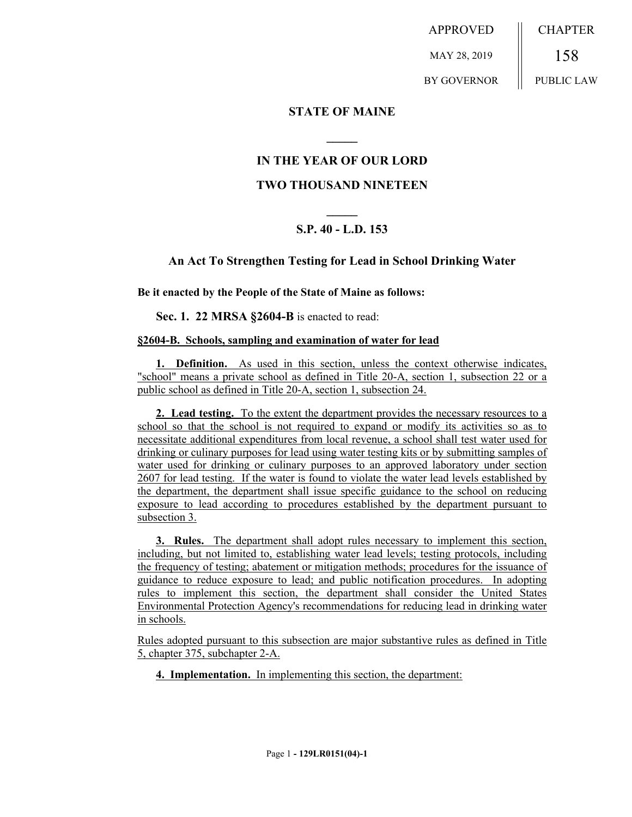APPROVED MAY 28, 2019 BY GOVERNOR CHAPTER 158 PUBLIC LAW

## **STATE OF MAINE**

# **IN THE YEAR OF OUR LORD**

**\_\_\_\_\_**

# **TWO THOUSAND NINETEEN**

# **\_\_\_\_\_ S.P. 40 - L.D. 153**

## **An Act To Strengthen Testing for Lead in School Drinking Water**

### **Be it enacted by the People of the State of Maine as follows:**

**Sec. 1. 22 MRSA §2604-B** is enacted to read:

### **§2604-B. Schools, sampling and examination of water for lead**

**1. Definition.** As used in this section, unless the context otherwise indicates, "school" means a private school as defined in Title 20-A, section 1, subsection 22 or a public school as defined in Title 20-A, section 1, subsection 24.

**2. Lead testing.** To the extent the department provides the necessary resources to a school so that the school is not required to expand or modify its activities so as to necessitate additional expenditures from local revenue, a school shall test water used for drinking or culinary purposes for lead using water testing kits or by submitting samples of water used for drinking or culinary purposes to an approved laboratory under section 2607 for lead testing. If the water is found to violate the water lead levels established by the department, the department shall issue specific guidance to the school on reducing exposure to lead according to procedures established by the department pursuant to subsection 3.

**3. Rules.** The department shall adopt rules necessary to implement this section, including, but not limited to, establishing water lead levels; testing protocols, including the frequency of testing; abatement or mitigation methods; procedures for the issuance of guidance to reduce exposure to lead; and public notification procedures. In adopting rules to implement this section, the department shall consider the United States Environmental Protection Agency's recommendations for reducing lead in drinking water in schools.

Rules adopted pursuant to this subsection are major substantive rules as defined in Title 5, chapter 375, subchapter 2-A.

**4. Implementation.** In implementing this section, the department: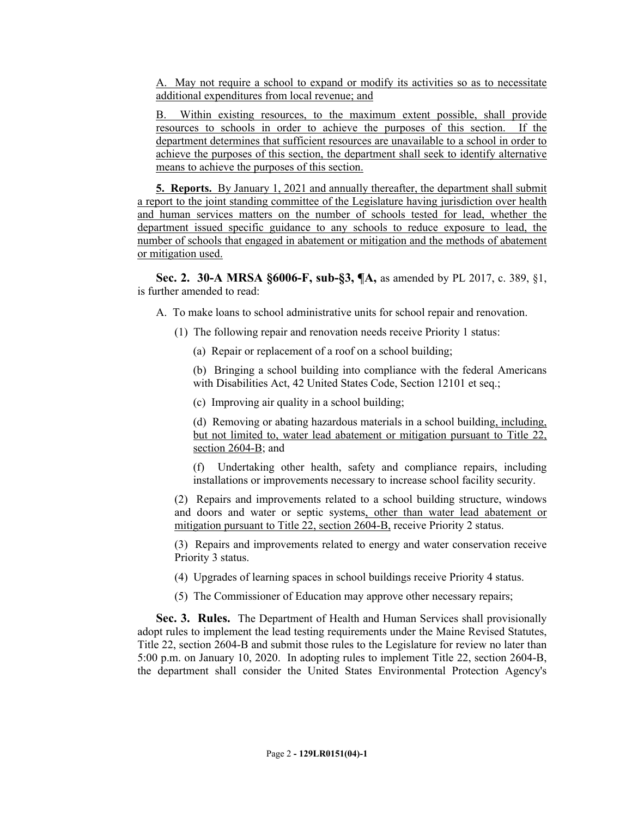A. May not require a school to expand or modify its activities so as to necessitate additional expenditures from local revenue; and

B. Within existing resources, to the maximum extent possible, shall provide resources to schools in order to achieve the purposes of this section. If the department determines that sufficient resources are unavailable to a school in order to achieve the purposes of this section, the department shall seek to identify alternative means to achieve the purposes of this section.

**5. Reports.** By January 1, 2021 and annually thereafter, the department shall submit a report to the joint standing committee of the Legislature having jurisdiction over health and human services matters on the number of schools tested for lead, whether the department issued specific guidance to any schools to reduce exposure to lead, the number of schools that engaged in abatement or mitigation and the methods of abatement or mitigation used.

**Sec. 2. 30-A MRSA §6006-F, sub-§3, ¶A,** as amended by PL 2017, c. 389, §1, is further amended to read:

A. To make loans to school administrative units for school repair and renovation.

- (1) The following repair and renovation needs receive Priority 1 status:
	- (a) Repair or replacement of a roof on a school building;

(b) Bringing a school building into compliance with the federal Americans with Disabilities Act, 42 United States Code, Section 12101 et seq.;

(c) Improving air quality in a school building;

(d) Removing or abating hazardous materials in a school building, including, but not limited to, water lead abatement or mitigation pursuant to Title 22, section 2604-B; and

(f) Undertaking other health, safety and compliance repairs, including installations or improvements necessary to increase school facility security.

(2) Repairs and improvements related to a school building structure, windows and doors and water or septic systems, other than water lead abatement or mitigation pursuant to Title 22, section 2604-B, receive Priority 2 status.

(3) Repairs and improvements related to energy and water conservation receive Priority 3 status.

(4) Upgrades of learning spaces in school buildings receive Priority 4 status.

(5) The Commissioner of Education may approve other necessary repairs;

**Sec. 3. Rules.** The Department of Health and Human Services shall provisionally adopt rules to implement the lead testing requirements under the Maine Revised Statutes, Title 22, section 2604-B and submit those rules to the Legislature for review no later than 5:00 p.m. on January 10, 2020. In adopting rules to implement Title 22, section 2604-B, the department shall consider the United States Environmental Protection Agency's